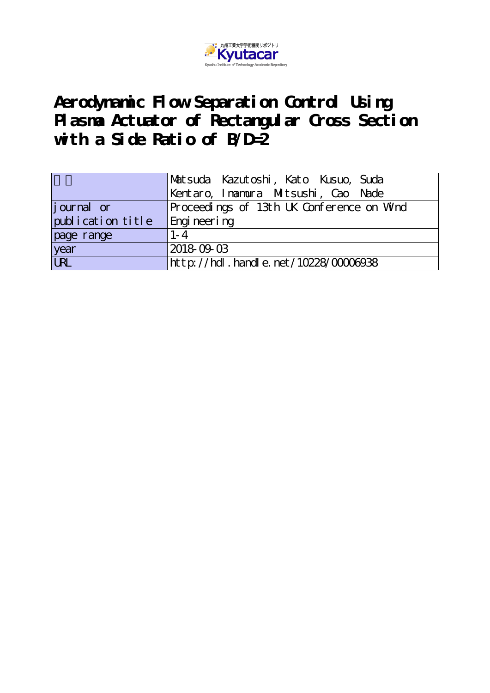

**Aerodynamic Flow Separation Control Using Plasma Actuator of Rectangular Cross Section with a Side Ratio of B/D=2**

|                   | Matsuda Kazutoshi, Kato Kusuo, Suda       |  |  |  |  |
|-------------------|-------------------------------------------|--|--|--|--|
|                   | Kentaro, Inamura Mitsushi, Cao Nade       |  |  |  |  |
| journal or        | Proceedings of 13th UK Conference on Wind |  |  |  |  |
| publication title | Engi neeri ng                             |  |  |  |  |
| page range        | $1 - 4$                                   |  |  |  |  |
| year              | 2018-09-03                                |  |  |  |  |
| URL               | http://hdl . handl e. net/10228/00006938  |  |  |  |  |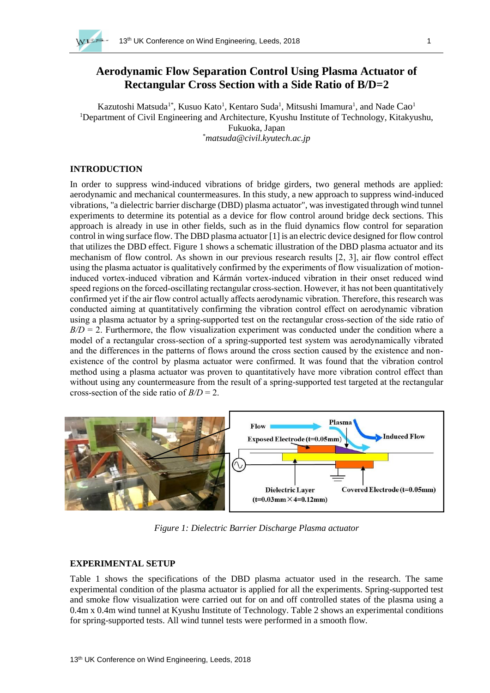

# **Aerodynamic Flow Separation Control Using Plasma Actuator of Rectangular Cross Section with a Side Ratio of B/D=2**

Kazutoshi Matsuda<sup>1\*</sup>, Kusuo Kato<sup>1</sup>, Kentaro Suda<sup>1</sup>, Mitsushi Imamura<sup>1</sup>, and Nade Cao<sup>1</sup> <sup>1</sup>Department of Civil Engineering and Architecture, Kyushu Institute of Technology, Kitakyushu, Fukuoka, Japan \**matsuda@civil.kyutech.ac.jp*

## **INTRODUCTION**

In order to suppress wind-induced vibrations of bridge girders, two general methods are applied: aerodynamic and mechanical countermeasures. In this study, a new approach to suppress wind-induced vibrations, "a dielectric barrier discharge (DBD) plasma actuator", was investigated through wind tunnel experiments to determine its potential as a device for flow control around bridge deck sections. This approach is already in use in other fields, such as in the fluid dynamics flow control for separation control in wing surface flow. The DBD plasma actuator [1] is an electric device designed for flow control that utilizes the DBD effect. Figure 1 shows a schematic illustration of the DBD plasma actuator and its mechanism of flow control. As shown in our previous research results [2, 3], air flow control effect using the plasma actuator is qualitatively confirmed by the experiments of flow visualization of motioninduced vortex-induced vibration and Kármán vortex-induced vibration in their onset reduced wind speed regions on the forced-oscillating rectangular cross-section. However, it has not been quantitatively confirmed yet if the air flow control actually affects aerodynamic vibration. Therefore, this research was conducted aiming at quantitatively confirming the vibration control effect on aerodynamic vibration using a plasma actuator by a spring-supported test on the rectangular cross-section of the side ratio of  $B/D = 2$ . Furthermore, the flow visualization experiment was conducted under the condition where a model of a rectangular cross-section of a spring-supported test system was aerodynamically vibrated and the differences in the patterns of flows around the cross section caused by the existence and nonexistence of the control by plasma actuator were confirmed. It was found that the vibration control method using a plasma actuator was proven to quantitatively have more vibration control effect than without using any countermeasure from the result of a spring-supported test targeted at the rectangular cross-section of the side ratio of *B/D* = 2.



*Figure 1: Dielectric Barrier Discharge Plasma actuator*

#### **EXPERIMENTAL SETUP**

Table 1 shows the specifications of the DBD plasma actuator used in the research. The same experimental condition of the plasma actuator is applied for all the experiments. Spring-supported test and smoke flow visualization were carried out for on and off controlled states of the plasma using a 0.4m x 0.4m wind tunnel at Kyushu Institute of Technology. Table 2 shows an experimental conditions for spring-supported tests. All wind tunnel tests were performed in a smooth flow.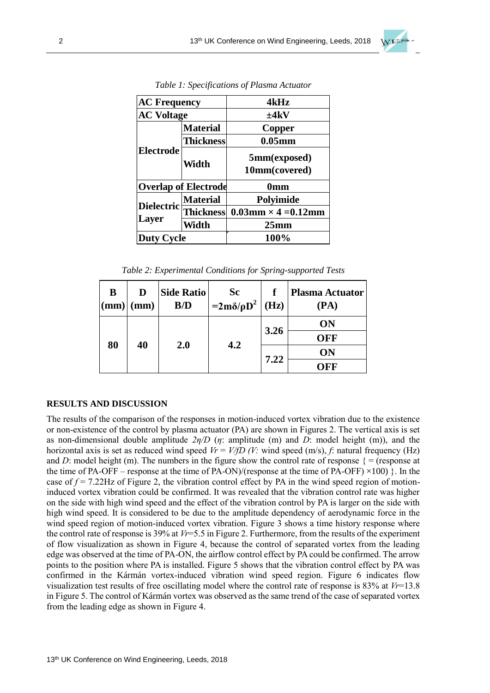

| <b>AC Frequency</b>        |                             | 4kHz                          |  |  |
|----------------------------|-----------------------------|-------------------------------|--|--|
| <b>AC Voltage</b>          |                             | ±4kV                          |  |  |
| <b>Electrode</b>           | <b>Material</b>             | Copper                        |  |  |
|                            | <b>Thickness</b>            | $0.05$ mm                     |  |  |
|                            | Width                       | 5mm(exposed)<br>10mm(covered) |  |  |
|                            | <b>Overlap of Electrode</b> | 0 <sub>mm</sub>               |  |  |
| <b>Dielectric</b><br>Layer | <b>Material</b>             | Polyimide                     |  |  |
|                            | <b>Thickness</b>            | $0.03$ mm $\times$ 4 = 0.12mm |  |  |
|                            | Width                       | 25 <sub>mm</sub>              |  |  |
| <b>Duty Cycle</b>          |                             | 100%                          |  |  |

*Table 1: Specifications of Plasma Actuator*

*Table 2: Experimental Conditions for Spring-supported Tests*

| B<br>$\vert$ (mm) $\vert$ | D<br>(mm) | <b>Side Ratio</b><br>B/D | <b>Sc</b><br>$=2m\delta/\rho D^2$ | f<br>(Hz)  | <b>Plasma Actuator</b><br>(PA) |
|---------------------------|-----------|--------------------------|-----------------------------------|------------|--------------------------------|
| 80<br>40                  |           |                          |                                   | 3.26       | ON                             |
|                           |           |                          |                                   | <b>OFF</b> |                                |
|                           |           | 2.0                      | 4.2                               | 7.22       | ON                             |
|                           |           |                          |                                   |            | OFF                            |

#### **RESULTS AND DISCUSSION**

The results of the comparison of the responses in motion-induced vortex vibration due to the existence or non-existence of the control by plasma actuator (PA) are shown in Figures 2. The vertical axis is set as non-dimensional double amplitude *2η/D* (*η*: amplitude (m) and *D*: model height (m)), and the horizontal axis is set as reduced wind speed  $Vr = V/D/V$ ; wind speed (m/s), *f*: natural frequency (Hz) and *D*: model height (m). The numbers in the figure show the control rate of response  $\zeta$  = (response at the time of PA-OFF – response at the time of PA-ON)/(response at the time of PA-OFF)  $\times$ 100) }. In the case of  $f = 7.22$ Hz of Figure 2, the vibration control effect by PA in the wind speed region of motioninduced vortex vibration could be confirmed. It was revealed that the vibration control rate was higher on the side with high wind speed and the effect of the vibration control by PA is larger on the side with high wind speed. It is considered to be due to the amplitude dependency of aerodynamic force in the wind speed region of motion-induced vortex vibration. Figure 3 shows a time history response where the control rate of response is 39% at *Vr*=5.5 in Figure 2. Furthermore, from the results of the experiment of flow visualization as shown in Figure 4, because the control of separated vortex from the leading edge was observed at the time of PA-ON, the airflow control effect by PA could be confirmed. The arrow points to the position where PA is installed. Figure 5 shows that the vibration control effect by PA was confirmed in the Kármán vortex-induced vibration wind speed region. Figure 6 indicates flow visualization test results of free oscillating model where the control rate of response is 83% at *Vr*=13.8 in Figure 5. The control of Kármán vortex was observed as the same trend of the case of separated vortex from the leading edge as shown in Figure 4.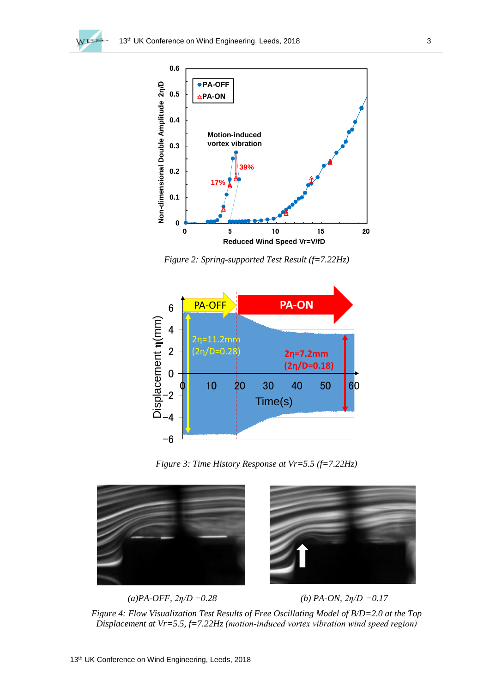



*Figure 2: Spring-supported Test Result (f=7.22Hz)*



*Figure 3: Time History Response at Vr=5.5 (f=7.22Hz)*